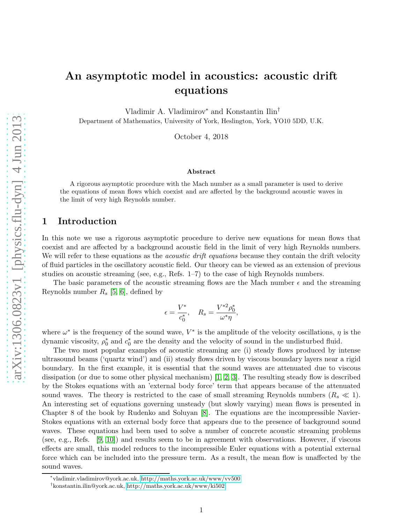# An asymptotic model in acoustics: acoustic drift equations

Vladimir A. Vladimirov<sup>∗</sup> and Konstantin Ilin†

Department of Mathematics, University of York, Heslington, York, YO10 5DD, U.K.

October 4, 2018

#### Abstract

A rigorous asymptotic procedure with the Mach number as a small parameter is used to derive the equations of mean flows which coexist and are affected by the background acoustic waves in the limit of very high Reynolds number.

# 1 Introduction

In this note we use a rigorous asymptotic procedure to derive new equations for mean flows that coexist and are affected by a background acoustic field in the limit of very high Reynolds numbers. We will refer to these equations as the *acoustic drift equations* because they contain the drift velocity of fluid particles in the oscillatory acoustic field. Our theory can be viewed as an extension of previous studies on acoustic streaming (see, e.g., Refs. 1–7) to the case of high Reynolds numbers.

The basic parameters of the acoustic streaming flows are the Mach number  $\epsilon$  and the streaming Reynolds number  $R_s$  [\[5,](#page-9-0) [6\]](#page-9-1), defined by

$$
\epsilon = \frac{V^*}{c_0^*}, \quad R_s = \frac{V^{*2} \rho_0^*}{\omega^* \eta},
$$

where  $\omega^*$  is the frequency of the sound wave,  $V^*$  is the amplitude of the velocity oscillations,  $\eta$  is the dynamic viscosity,  $\rho_0^*$  and  $c_0^*$  are the density and the velocity of sound in the undisturbed fluid.

The two most popular examples of acoustic streaming are (i) steady flows produced by intense ultrasound beams ('quartz wind') and (ii) steady flows driven by viscous boundary layers near a rigid boundary. In the first example, it is essential that the sound waves are attenuated due to viscous dissipation (or due to some other physical mechanism)  $[1, 2, 3]$  $[1, 2, 3]$  $[1, 2, 3]$  $[1, 2, 3]$ . The resulting steady flow is described by the Stokes equations with an 'external body force' term that appears because of the attenuated sound waves. The theory is restricted to the case of small streaming Reynolds numbers  $(R_s \ll 1)$ . An interesting set of equations governing unsteady (but slowly varying) mean flows is presented in Chapter 8 of the book by Rudenko and Soluyan [\[8\]](#page-9-5). The equations are the incompressible Navier-Stokes equations with an external body force that appears due to the presence of background sound waves. These equations had been used to solve a number of concrete acoustic streaming problems (see, e.g., Refs. [\[9,](#page-9-6) [10\]](#page-9-7)) and results seem to be in agreement with observations. However, if viscous effects are small, this model reduces to the incompressible Euler equations with a potential external force which can be included into the pressure term. As a result, the mean flow is unaffected by the sound waves.

<sup>∗</sup> vladimir.vladimirov@york.ac.uk,<http://maths.york.ac.uk/www/vv500>

<sup>†</sup> konstantin.ilin@york.ac.uk,<http://maths.york.ac.uk/www/ki502>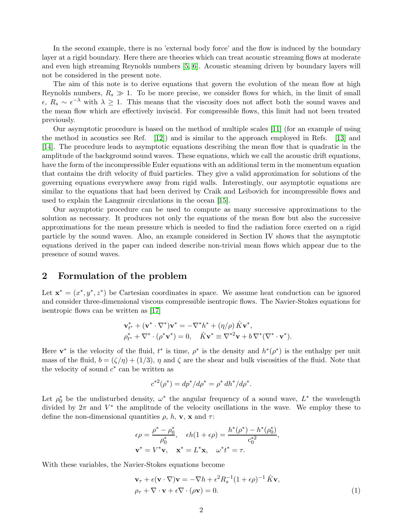In the second example, there is no 'external body force' and the flow is induced by the boundary layer at a rigid boundary. Here there are theories which can treat acoustic streaming flows at moderate and even high streaming Reynolds numbers [\[5,](#page-9-0) [6\]](#page-9-1). Acoustic steaming driven by boundary layers will not be considered in the present note.

The aim of this note is to derive equations that govern the evolution of the mean flow at high Reynolds numbers,  $R_s \gg 1$ . To be more precise, we consider flows for which, in the limit of small  $\epsilon, R_s \sim \epsilon^{-\lambda}$  with  $\lambda \geq 1$ . This means that the viscosity does not affect both the sound waves and the mean flow which are effectively inviscid. For compressible flows, this limit had not been treated previously.

Our asymptotic procedure is based on the method of multiple scales [\[11\]](#page-9-8) (for an example of using the method in acoustics see Ref. [\[12\]](#page-9-9)) and is similar to the approach employed in Refs. [\[13\]](#page-10-0) and [\[14\]](#page-10-1). The procedure leads to asymptotic equations describing the mean flow that is quadratic in the amplitude of the background sound waves. These equations, which we call the acoustic drift equations, have the form of the incompressible Euler equations with an additional term in the momentum equation that contains the drift velocity of fluid particles. They give a valid approximation for solutions of the governing equations everywhere away from rigid walls. Interestingly, our asymptotic equations are similar to the equations that had been derived by Craik and Leibovich for incompressible flows and used to explain the Langmuir circulations in the ocean [\[15\]](#page-10-2).

Our asymptotic procedure can be used to compute as many successive approximations to the solution as necessary. It produces not only the equations of the mean flow but also the successive approximations for the mean pressure which is needed to find the radiation force exerted on a rigid particle by the sound waves. Also, an example considered in Section IV shows that the asymptotic equations derived in the paper can indeed describe non-trivial mean flows which appear due to the presence of sound waves.

# 2 Formulation of the problem

Let  $\mathbf{x}^* = (x^*, y^*, z^*)$  be Cartesian coordinates in space. We assume heat conduction can be ignored and consider three-dimensional viscous compressible isentropic flows. The Navier-Stokes equations for isentropic flows can be written as [\[17\]](#page-10-3)

$$
\mathbf{v}_{t^*}^* + (\mathbf{v}^* \cdot \nabla^*) \mathbf{v}^* = -\nabla^* h^* + (\eta/\rho) \hat{K} \mathbf{v}^*,
$$
  

$$
\rho_{t^*}^* + \nabla^* \cdot (\rho^* \mathbf{v}^*) = 0, \quad \hat{K} \mathbf{v}^* \equiv \nabla^{*2} \mathbf{v} + b \nabla^* (\nabla^* \cdot \mathbf{v}^*).
$$

Here  $\mathbf{v}^*$  is the velocity of the fluid,  $t^*$  is time,  $\rho^*$  is the density and  $h^*(\rho^*)$  is the enthalpy per unit mass of the fluid,  $b = (\zeta/\eta) + (1/3)$ ,  $\eta$  and  $\zeta$  are the shear and bulk viscosities of the fluid. Note that the velocity of sound  $c^*$  can be written as

$$
c^{*2}(\rho^*) = dp^* / d\rho^* = \rho^* dh^* / d\rho^*.
$$

Let  $\rho_0^*$  be the undisturbed density,  $\omega^*$  the angular frequency of a sound wave,  $L^*$  the wavelength divided by  $2\pi$  and  $V^*$  the amplitude of the velocity oscillations in the wave. We employ these to define the non-dimensional quantities  $\rho$ ,  $h$ ,  $\mathbf{v}$ ,  $\mathbf{x}$  and  $\tau$ :

$$
\epsilon \rho = \frac{\rho^* - \rho_0^*}{\rho_0^*}, \quad \epsilon h(1 + \epsilon \rho) = \frac{h^*(\rho^*) - h^*(\rho_0^*)}{c_0^{*2}},
$$
  

$$
\mathbf{v}^* = V^* \mathbf{v}, \quad \mathbf{x}^* = L^* \mathbf{x}, \quad \omega^* t^* = \tau.
$$

With these variables, the Navier-Stokes equations become

<span id="page-1-0"></span>
$$
\mathbf{v}_{\tau} + \epsilon (\mathbf{v} \cdot \nabla) \mathbf{v} = -\nabla h + \epsilon^2 R_s^{-1} (1 + \epsilon \rho)^{-1} \hat{K} \mathbf{v}, \n\rho_{\tau} + \nabla \cdot \mathbf{v} + \epsilon \nabla \cdot (\rho \mathbf{v}) = 0.
$$
\n(1)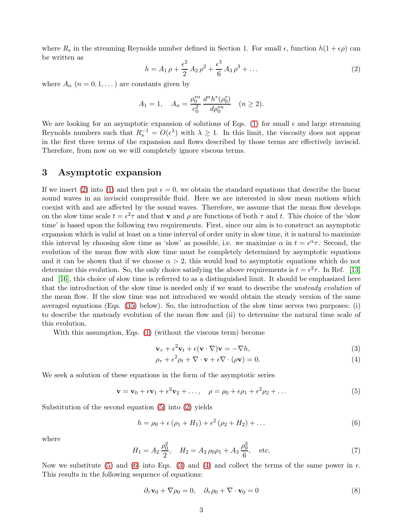<span id="page-2-0"></span>where  $R_s$  in the streaming Reynolds number defined in Section 1. For small  $\epsilon$ , function  $h(1 + \epsilon \rho)$  can be written as

$$
h = A_1 \rho + \frac{\epsilon^2}{2} A_2 \rho^2 + \frac{\epsilon^3}{6} A_3 \rho^3 + \dots
$$
 (2)

where  $A_n$   $(n = 0, 1, ...)$  are constants given by

$$
A_1 = 1, \quad A_n = \frac{\rho_0^{*n}}{c_0^2} \frac{d^n h^*(\rho_0^*)}{d\rho_0^{*n}} \quad (n \ge 2).
$$

We are looking for an asymptotic expansion of solutions of Eqs. [\(1\)](#page-1-0) for small  $\epsilon$  and large streaming Reynolds numbers such that  $R_s^{-1} = O(\epsilon^{\lambda})$  with  $\lambda \geq 1$ . In this limit, the viscosity does not appear in the first three terms of the expansion and flows described by those terms are effectively inviscid. Therefore, from now on we will completely ignore viscous terms.

## 3 Asymptotic expansion

If we insert [\(2\)](#page-2-0) into [\(1\)](#page-1-0) and then put  $\epsilon = 0$ , we obtain the standard equations that describe the linear sound waves in an inviscid compressible fluid. Here we are interested in slow mean motions which coexist with and are affected by the sound waves. Therefore, we assume that the mean flow develops on the slow time scale  $t = \epsilon^2 \tau$  and that **v** and  $\rho$  are functions of both  $\tau$  and t. This choice of the 'slow time' is based upon the following two requirements. First, since our aim is to construct an asymptotic expansion which is valid at least on a time interval of order unity in slow time, it is natural to maximize this interval by choosing slow time as 'slow' as possible, i.e. we maximize  $\alpha$  in  $t = e^{\alpha} \tau$ . Second, the evolution of the mean flow with slow time must be completely determined by asymptotic equations and it can be shown that if we choose  $\alpha > 2$ , this would lead to asymptotic equations which do not determine this evolution. So, the only choice satisfying the above requirements is  $t = \epsilon^2 \tau$ . In Ref. [\[13\]](#page-10-0) and [\[16\]](#page-10-4), this choice of slow time is referred to as a distinguished limit. It should be emphasized here that the introduction of the slow time is needed only if we want to describe the *unsteady evolution* of the mean flow. If the slow time was not introduced we would obtain the steady version of the same averaged equations (Eqs. [\(35\)](#page-6-0) below). So, the introduction of the slow time serves two purposes: (i) to describe the unsteady evolution of the mean flow and (ii) to determine the natural time scale of this evolution.

With this assumption, Eqs. [\(1\)](#page-1-0) (without the viscous term) become

<span id="page-2-3"></span>
$$
\mathbf{v}_{\tau} + \epsilon^2 \mathbf{v}_t + \epsilon (\mathbf{v} \cdot \nabla) \mathbf{v} = -\nabla h,\tag{3}
$$

<span id="page-2-2"></span><span id="page-2-1"></span>
$$
\rho_{\tau} + \epsilon^2 \rho_t + \nabla \cdot \mathbf{v} + \epsilon \nabla \cdot (\rho \mathbf{v}) = 0. \tag{4}
$$

We seek a solution of these equations in the form of the asymptotic series

$$
\mathbf{v} = \mathbf{v}_0 + \epsilon \mathbf{v}_1 + \epsilon^2 \mathbf{v}_2 + \dots, \quad \rho = \rho_0 + \epsilon \rho_1 + \epsilon^2 \rho_2 + \dots \tag{5}
$$

Substitution of the second equation [\(5\)](#page-2-1) into [\(2\)](#page-2-0) yields

$$
h = \rho_0 + \epsilon (\rho_1 + H_1) + \epsilon^2 (\rho_2 + H_2) + \dots
$$
 (6)

where

$$
H_1 = A_2 \frac{\rho_0^2}{2}, \quad H_2 = A_2 \rho_0 \rho_1 + A_3 \frac{\rho_0^3}{6}, \quad \text{etc.}
$$
 (7)

Now we substitute [\(5\)](#page-2-1) and [\(6\)](#page-2-2) into Eqs. [\(3\)](#page-2-3) and [\(4\)](#page-2-3) and collect the terms of the same power in  $\epsilon$ . This results in the following sequence of equations:

<span id="page-2-4"></span>
$$
\partial_{\tau} \mathbf{v}_0 + \nabla \rho_0 = 0, \quad \partial_{\tau} \rho_0 + \nabla \cdot \mathbf{v}_0 = 0 \tag{8}
$$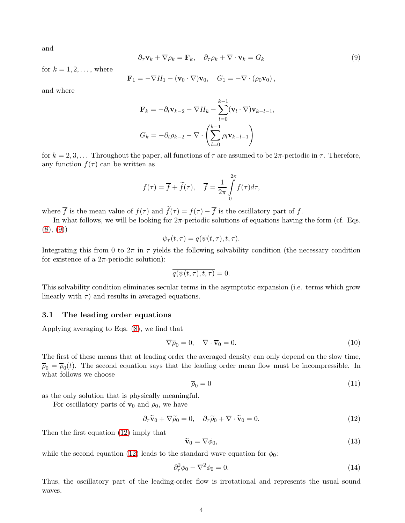<span id="page-3-0"></span>and

$$
\partial_{\tau} \mathbf{v}_k + \nabla \rho_k = \mathbf{F}_k, \quad \partial_{\tau} \rho_k + \nabla \cdot \mathbf{v}_k = G_k \tag{9}
$$

for  $k = 1, 2, \ldots$ , where

$$
\mathbf{F}_1 = -\nabla H_1 - (\mathbf{v}_0 \cdot \nabla) \mathbf{v}_0, \quad G_1 = -\nabla \cdot (\rho_0 \mathbf{v}_0),
$$

and where

$$
\mathbf{F}_k = -\partial_t \mathbf{v}_{k-2} - \nabla H_k - \sum_{l=0}^{k-1} (\mathbf{v}_l \cdot \nabla) \mathbf{v}_{k-l-1},
$$

$$
G_k = -\partial_t \rho_{k-2} - \nabla \cdot \left( \sum_{l=0}^{k-1} \rho_l \mathbf{v}_{k-l-1} \right)
$$

for  $k = 2, 3, \ldots$  Throughout the paper, all functions of  $\tau$  are assumed to be  $2\pi$ -periodic in  $\tau$ . Therefore, any function  $f(\tau)$  can be written as

$$
f(\tau) = \overline{f} + \widetilde{f}(\tau), \quad \overline{f} = \frac{1}{2\pi} \int_{0}^{2\pi} f(\tau) d\tau,
$$

where  $\overline{f}$  is the mean value of  $f(\tau)$  and  $\tilde{f}(\tau) = f(\tau) - \overline{f}$  is the oscillatory part of f.

In what follows, we will be looking for  $2\pi$ -periodic solutions of equations having the form (cf. Eqs.  $(8), (9)$  $(8), (9)$  $(8), (9)$ 

$$
\psi_{\tau}(t,\tau) = q(\psi(t,\tau),t,\tau).
$$

Integrating this from 0 to  $2\pi$  in  $\tau$  yields the following solvability condition (the necessary condition for existence of a  $2\pi$ -periodic solution):

$$
\overline{q(\psi(t,\tau),t,\tau)}=0.
$$

This solvability condition eliminates secular terms in the asymptotic expansion (i.e. terms which grow linearly with  $\tau$ ) and results in averaged equations.

#### 3.1 The leading order equations

Applying averaging to Eqs. [\(8\)](#page-2-4), we find that

<span id="page-3-3"></span>
$$
\nabla \overline{\rho}_0 = 0, \quad \nabla \cdot \overline{\mathbf{v}}_0 = 0. \tag{10}
$$

The first of these means that at leading order the averaged density can only depend on the slow time,  $\overline{\rho}_0 = \overline{\rho}_0(t)$ . The second equation says that the leading order mean flow must be incompressible. In what follows we choose

<span id="page-3-1"></span>
$$
\overline{\rho}_0 = 0 \tag{11}
$$

as the only solution that is physically meaningful.

For oscillatory parts of  $\mathbf{v}_0$  and  $\rho_0$ , we have

$$
\partial_{\tau}\widetilde{\mathbf{v}}_0 + \nabla\widetilde{\rho}_0 = 0, \quad \partial_{\tau}\widetilde{\rho}_0 + \nabla\cdot\widetilde{\mathbf{v}}_0 = 0. \tag{12}
$$

Then the first equation [\(12\)](#page-3-1) imply that

<span id="page-3-4"></span><span id="page-3-2"></span>
$$
\widetilde{\mathbf{v}}_0 = \nabla \phi_0,\tag{13}
$$

while the second equation [\(12\)](#page-3-1) leads to the standard wave equation for  $\phi_0$ :

$$
\partial_{\tau}^{2} \phi_0 - \nabla^2 \phi_0 = 0. \tag{14}
$$

Thus, the oscillatory part of the leading-order flow is irrotational and represents the usual sound waves.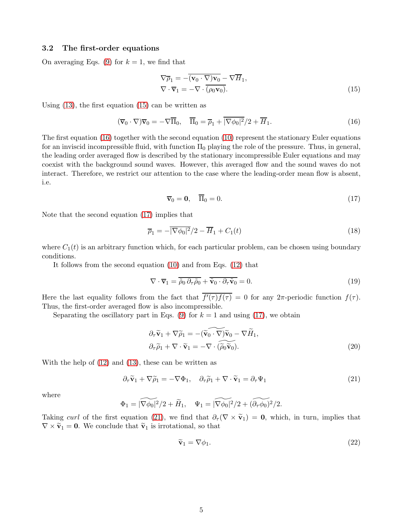#### 3.2 The first-order equations

On averaging Eqs. [\(9\)](#page-3-0) for  $k = 1$ , we find that

<span id="page-4-0"></span>
$$
\nabla \overline{\rho}_1 = -(\overline{\mathbf{v}_0 \cdot \nabla) \mathbf{v}_0} - \nabla \overline{H}_1, \n\nabla \cdot \overline{\mathbf{v}}_1 = -\nabla \cdot (\overline{\rho_0 \mathbf{v}_0}).
$$
\n(15)

Using [\(13\)](#page-3-2), the first equation [\(15\)](#page-4-0) can be written as

<span id="page-4-1"></span>
$$
(\overline{\mathbf{v}}_0 \cdot \nabla) \overline{\mathbf{v}}_0 = -\nabla \overline{\Pi}_0, \quad \overline{\Pi}_0 = \overline{\rho}_1 + |\overline{\nabla \phi_0|^2}/2 + \overline{H}_1. \tag{16}
$$

The first equation [\(16\)](#page-4-1) together with the second equation [\(10\)](#page-3-3) represent the stationary Euler equations for an inviscid incompressible fluid, with function  $\Pi_0$  playing the role of the pressure. Thus, in general, the leading order averaged flow is described by the stationary incompressible Euler equations and may coexist with the background sound waves. However, this averaged flow and the sound waves do not interact. Therefore, we restrict our attention to the case where the leading-order mean flow is absent, i.e.

<span id="page-4-2"></span>
$$
\overline{\mathbf{v}}_0 = \mathbf{0}, \quad \overline{\Pi}_0 = 0. \tag{17}
$$

Note that the second equation [\(17\)](#page-4-2) implies that

<span id="page-4-5"></span>
$$
\overline{\rho}_1 = -\overline{|\nabla \phi_0|^2}/2 - \overline{H}_1 + C_1(t) \tag{18}
$$

where  $C_1(t)$  is an arbitrary function which, for each particular problem, can be chosen using boundary conditions.

It follows from the second equation [\(10\)](#page-3-3) and from Eqs. [\(12\)](#page-3-1) that

$$
\nabla \cdot \overline{\mathbf{v}}_1 = \overline{\tilde{\rho}_0 \, \partial_\tau \tilde{\rho}_0} + \overline{\tilde{\mathbf{v}}_0 \cdot \partial_\tau \tilde{\mathbf{v}}_0} = 0. \tag{19}
$$

Here the last equality follows from the fact that  $f'(\tau) f(\tau) = 0$  for any  $2\pi$ -periodic function  $f(\tau)$ . Thus, the first-order averaged flow is also incompressible.

Separating the oscillatory part in Eqs. [\(9\)](#page-3-0) for  $k = 1$  and using [\(17\)](#page-4-2), we obtain

$$
\partial_{\tau}\widetilde{\mathbf{v}}_{1} + \nabla\widetilde{\rho}_{1} = -(\widetilde{\mathbf{v}}_{0} \cdot \widetilde{\nabla})\widetilde{\mathbf{v}}_{0} - \nabla\widetilde{H}_{1},
$$
\n
$$
\partial_{\tau}\widetilde{\rho}_{1} + \nabla\cdot\widetilde{\mathbf{v}}_{1} = -\nabla\cdot(\widetilde{\rho}_{0}\widetilde{\mathbf{v}}_{0}).
$$
\n(20)

With the help of [\(12\)](#page-3-1) and [\(13\)](#page-3-2), these can be written as

<span id="page-4-3"></span>
$$
\partial_{\tau}\widetilde{\mathbf{v}}_1 + \nabla\widetilde{\rho}_1 = -\nabla\Phi_1, \quad \partial_{\tau}\widetilde{\rho}_1 + \nabla\cdot\widetilde{\mathbf{v}}_1 = \partial_{\tau}\Psi_1 \tag{21}
$$

where

$$
\Phi_1 = |\widetilde{\nabla \phi_0}|^2/2 + \widetilde{H}_1, \quad \Psi_1 = |\widetilde{\nabla \phi_0}|^2/2 + (\widetilde{\partial_\tau \phi_0})^2/2.
$$

Taking curl of the first equation [\(21\)](#page-4-3), we find that  $\partial_{\tau}(\nabla \times \tilde{\mathbf{v}}_1) = \mathbf{0}$ , which, in turn, implies that  $\nabla \times \tilde{\mathbf{v}}_1 = \mathbf{0}$ . We conclude that  $\tilde{\mathbf{v}}_1$  is irrotational, so that

<span id="page-4-4"></span>
$$
\widetilde{\mathbf{v}}_1 = \nabla \phi_1. \tag{22}
$$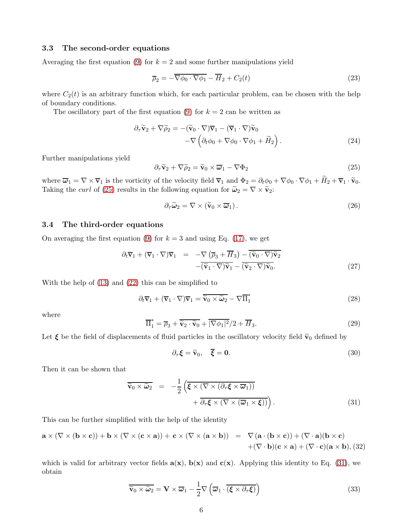## 3.3 The second-order equations

Averaging the first equation [\(9\)](#page-3-0) for  $k = 2$  and some further manipulations yield

<span id="page-5-4"></span>
$$
\overline{\rho}_2 = -\overline{\nabla\phi_0 \cdot \nabla\phi_1} - \overline{H}_2 + C_2(t)
$$
\n(23)

where  $C_2(t)$  is an arbitrary function which, for each particular problem, can be chosen with the help of boundary conditions.

The oscillatory part of the first equation [\(9\)](#page-3-0) for  $k = 2$  can be written as

$$
\partial_{\tau}\widetilde{\mathbf{v}}_{2} + \nabla\widetilde{\rho}_{2} = -(\widetilde{\mathbf{v}}_{0} \cdot \nabla)\overline{\mathbf{v}}_{1} - (\overline{\mathbf{v}}_{1} \cdot \nabla)\widetilde{\mathbf{v}}_{0} -\nabla\left(\partial_{t}\phi_{0} + \nabla\phi_{0} \cdot \nabla\phi_{1} + \widetilde{H}_{2}\right).
$$
\n(24)

Further manipulations yield

<span id="page-5-0"></span>
$$
\partial_{\tau}\widetilde{\mathbf{v}}_2 + \nabla\widetilde{\rho}_2 = \widetilde{\mathbf{v}}_0 \times \overline{\boldsymbol{\omega}}_1 - \nabla\Phi_2 \tag{25}
$$

where  $\overline{\omega}_1 = \nabla \times \overline{\mathbf{v}}_1$  is the vorticity of the velocity field  $\overline{\mathbf{v}}_1$  and  $\Phi_2 = \partial_t \phi_0 + \nabla \phi_0 \cdot \nabla \phi_1 + \widetilde{H}_2 + \overline{\mathbf{v}}_1 \cdot \widetilde{\mathbf{v}}_0$ . Taking the *curl* of [\(25\)](#page-5-0) results in the following equation for  $\tilde{\omega}_2 = \nabla \times \tilde{\mathbf{v}}_2$ :

$$
\partial_{\tau}\widetilde{\omega}_2 = \nabla \times (\widetilde{\mathbf{v}}_0 \times \overline{\boldsymbol{\omega}}_1). \tag{26}
$$

## 3.4 The third-order equations

On averaging the first equation [\(9\)](#page-3-0) for  $k = 3$  and using Eq. [\(17\)](#page-4-2), we get

$$
\partial_t \overline{\mathbf{v}}_1 + (\overline{\mathbf{v}}_1 \cdot \nabla) \overline{\mathbf{v}}_1 = -\nabla \left( \overline{\rho}_3 + \overline{H}_3 \right) - \overline{(\widetilde{\mathbf{v}}_0 \cdot \nabla)} \widetilde{\mathbf{v}}_2 - \overline{(\widetilde{\mathbf{v}}_1 \cdot \nabla)} \widetilde{\mathbf{v}}_1 - \overline{(\widetilde{\mathbf{v}}_2 \cdot \nabla)} \widetilde{\mathbf{v}}_0.
$$
\n(27)

With the help of [\(13\)](#page-3-2) and [\(22\)](#page-4-4) this can be simplified to

<span id="page-5-3"></span>
$$
\partial_t \overline{\mathbf{v}}_1 + (\overline{\mathbf{v}}_1 \cdot \nabla) \overline{\mathbf{v}}_1 = \overline{\widetilde{\mathbf{v}}_0 \times \widetilde{\boldsymbol{\omega}}_2} - \nabla \overline{\Pi}_1^*
$$
(28)

where

$$
\overline{\Pi}_1^* = \overline{\rho}_3 + \overline{\tilde{\mathbf{v}}_2 \cdot \tilde{\mathbf{v}}_0} + \overline{|\nabla \phi_1|^2}/2 + \overline{H}_3. \tag{29}
$$

Let  $\xi$  be the field of displacements of fluid particles in the oscillatory velocity field  $\tilde{v}_0$  defined by

$$
\partial_{\tau} \xi = \widetilde{\mathbf{v}}_0, \quad \overline{\xi} = \mathbf{0}.\tag{30}
$$

Then it can be shown that

<span id="page-5-1"></span>
$$
\widetilde{\mathbf{v}}_0 \times \widetilde{\boldsymbol{\omega}}_2 = -\frac{1}{2} \left( \overline{\boldsymbol{\xi} \times (\nabla \times (\partial_\tau \boldsymbol{\xi} \times \overline{\boldsymbol{\omega}}_1))} + \overline{\partial_\tau \boldsymbol{\xi} \times (\nabla \times (\overline{\boldsymbol{\omega}}_1 \times \boldsymbol{\xi}))} \right).
$$
\n(31)

This can be further simplified with the help of the identity

$$
\mathbf{a} \times (\nabla \times (\mathbf{b} \times \mathbf{c})) + \mathbf{b} \times (\nabla \times (\mathbf{c} \times \mathbf{a})) + \mathbf{c} \times (\nabla \times (\mathbf{a} \times \mathbf{b})) = \nabla (\mathbf{a} \cdot (\mathbf{b} \times \mathbf{c})) + (\nabla \cdot \mathbf{a})(\mathbf{b} \times \mathbf{c}) + (\nabla \cdot \mathbf{b})(\mathbf{c} \times \mathbf{a}) + (\nabla \cdot \mathbf{c})(\mathbf{a} \times \mathbf{b}),
$$
(32)

which is valid for arbitrary vector fields  $\mathbf{a}(\mathbf{x})$ ,  $\mathbf{b}(\mathbf{x})$  and  $\mathbf{c}(\mathbf{x})$ . Applying this identity to Eq. [\(31\)](#page-5-1), we obtain

<span id="page-5-2"></span>
$$
\widetilde{\mathbf{v}}_0 \times \widetilde{\boldsymbol{\omega}}_2 = \mathbf{V} \times \overline{\boldsymbol{\omega}}_1 - \frac{1}{2} \nabla \left( \overline{\boldsymbol{\omega}}_1 \cdot \overline{(\boldsymbol{\xi} \times \partial_\tau \boldsymbol{\xi})} \right)
$$
(33)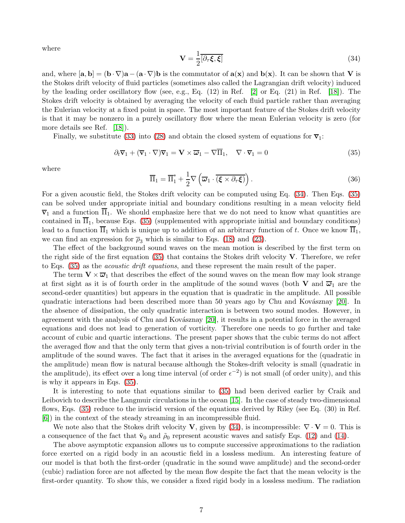<span id="page-6-1"></span>where

$$
\mathbf{V} = \frac{1}{2} \overline{[\partial_{\tau} \xi, \xi]}
$$
(34)

and, where  $[\mathbf{a}, \mathbf{b}] = (\mathbf{b} \cdot \nabla) \mathbf{a} - (\mathbf{a} \cdot \nabla) \mathbf{b}$  is the commutator of  $\mathbf{a}(\mathbf{x})$  and  $\mathbf{b}(\mathbf{x})$ . It can be shown that V is the Stokes drift velocity of fluid particles (sometimes also called the Lagrangian drift velocity) induced by the leading order oscillatory flow (see, e.g., Eq.  $(12)$  in Ref.  $[2]$  or Eq.  $(21)$  in Ref.  $[18]$ ). The Stokes drift velocity is obtained by averaging the velocity of each fluid particle rather than averaging the Eulerian velocity at a fixed point in space. The most important feature of the Stokes drift velocity is that it may be nonzero in a purely oscillatory flow where the mean Eulerian velocity is zero (for more details see Ref. [\[18\]](#page-10-5)).

Finally, we substitute [\(33\)](#page-5-2) into [\(28\)](#page-5-3) and obtain the closed system of equations for  $\overline{v}_1$ :

<span id="page-6-0"></span>
$$
\partial_t \overline{\mathbf{v}}_1 + (\overline{\mathbf{v}}_1 \cdot \nabla) \overline{\mathbf{v}}_1 = \mathbf{V} \times \overline{\boldsymbol{\omega}}_1 - \nabla \overline{\Pi}_1, \quad \nabla \cdot \overline{\mathbf{v}}_1 = 0 \tag{35}
$$

<span id="page-6-2"></span>where

$$
\overline{\Pi}_1 = \overline{\Pi}_1^* + \frac{1}{2} \nabla \left( \overline{\omega}_1 \cdot \overline{(\xi \times \partial_\tau \xi)} \right).
$$
 (36)

For a given acoustic field, the Stokes drift velocity can be computed using Eq. [\(34\)](#page-6-1). Then Eqs. [\(35\)](#page-6-0) can be solved under appropriate initial and boundary conditions resulting in a mean velocity field  $\bar{v}_1$  and a function  $\bar{\Pi}_1$ . We should emphasize here that we do not need to know what quantities are contained in  $\overline{\Pi}_1$ , because Eqs. [\(35\)](#page-6-0) (supplemented with appropriate initial and boundary conditions) lead to a function  $\overline{\Pi}_1$  which is unique up to addition of an arbitrary function of t. Once we know  $\overline{\Pi}_1$ , we can find an expression for  $\overline{\rho}_3$  which is similar to Eqs. [\(18\)](#page-4-5) and [\(23\)](#page-5-4).

The effect of the background sound waves on the mean motion is described by the first term on the right side of the first equation  $(35)$  that contains the Stokes drift velocity V. Therefore, we refer to Eqs. [\(35\)](#page-6-0) as the *acoustic drift equations*, and these represent the main result of the paper.

The term  $V \times \overline{\omega}_1$  that describes the effect of the sound waves on the mean flow may look strange at first sight as it is of fourth order in the amplitude of the sound waves (both V and  $\overline{\omega}_1$  are the second-order quantities) but appears in the equation that is quadratic in the amplitude. All possible quadratic interactions had been described more than 50 years ago by Chu and Kovásznay  $[20]$ . In the absence of dissipation, the only quadratic interaction is between two sound modes. However, in agreement with the analysis of Chu and Kovásznay [\[20\]](#page-10-6), it results in a potential force in the averaged equations and does not lead to generation of vorticity. Therefore one needs to go further and take account of cubic and quartic interactions. The present paper shows that the cubic terms do not affect the averaged flow and that the only term that gives a non-trivial contribution is of fourth order in the amplitude of the sound waves. The fact that it arises in the averaged equations for the (quadratic in the amplitude) mean flow is natural because although the Stokes-drift velocity is small (quadratic in the amplitude), its effect over a long time interval (of order  $\epsilon^{-2}$ ) is not small (of order unity), and this is why it appears in Eqs. [\(35\)](#page-6-0).

It is interesting to note that equations similar to [\(35\)](#page-6-0) had been derived earlier by Craik and Leibovich to describe the Langmuir circulations in the ocean [\[15\]](#page-10-2). In the case of steady two-dimensional flows, Eqs. [\(35\)](#page-6-0) reduce to the inviscid version of the equations derived by Riley (see Eq. (30) in Ref. [\[6\]](#page-9-1)) in the context of the steady streaming in an incompressible fluid.

We note also that the Stokes drift velocity **V**, given by  $(34)$ , is incompressible:  $\nabla \cdot \mathbf{V} = 0$ . This is a consequence of the fact that  $\tilde{\mathbf{v}}_0$  and  $\tilde{\rho}_0$  represent acoustic waves and satisfy Eqs. [\(12\)](#page-3-1) and [\(14\)](#page-3-4).

The above asymptotic expansion allows us to compute successive approximations to the radiation force exerted on a rigid body in an acoustic field in a lossless medium. An interesting feature of our model is that both the first-order (quadratic in the sound wave amplitude) and the second-order (cubic) radiation force are not affected by the mean flow despite the fact that the mean velocity is the first-order quantity. To show this, we consider a fixed rigid body in a lossless medium. The radiation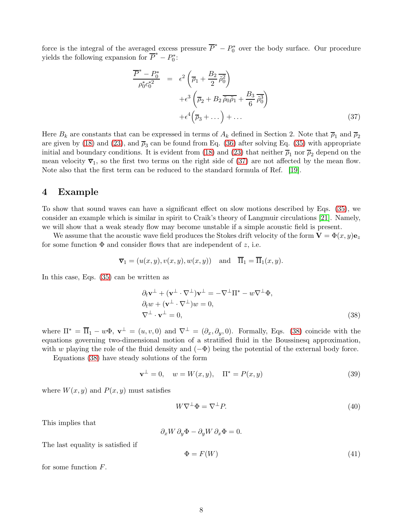force is the integral of the averaged excess pressure  $\overline{P}^* - P_0^*$  over the body surface. Our procedure yields the following expansion for  $\overline{P}^* - P_0^*$ :

<span id="page-7-0"></span>
$$
\frac{\overline{P}^* - P_0^*}{\rho_0^* c_0^{*2}} = \epsilon^2 \left( \overline{\rho}_1 + \frac{B_2}{2} \overline{\tilde{\rho}_0^2} \right)
$$

$$
+ \epsilon^3 \left( \overline{\rho}_2 + B_2 \overline{\tilde{\rho}_0 \tilde{\rho}_1} + \frac{B_3}{6} \overline{\tilde{\rho}_0^3} \right)
$$

$$
+ \epsilon^4 \left( \overline{\rho}_3 + \dots \right) + \dots \tag{37}
$$

Here  $B_k$  are constants that can be expressed in terms of  $A_k$  defined in Section 2. Note that  $\overline{\rho}_1$  and  $\overline{\rho}_2$ are given by [\(18\)](#page-4-5) and [\(23\)](#page-5-4), and  $\overline{\rho}_3$  can be found from Eq. [\(36\)](#page-6-2) after solving Eq. [\(35\)](#page-6-0) with appropriate initial and boundary conditions. It is evident from [\(18\)](#page-4-5) and [\(23\)](#page-5-4) that neither  $\overline{\rho}_1$  nor  $\overline{\rho}_2$  depend on the mean velocity  $\bar{v}_1$ , so the first two terms on the right side of [\(37\)](#page-7-0) are not affected by the mean flow. Note also that the first term can be reduced to the standard formula of Ref. [\[19\]](#page-10-7).

# 4 Example

To show that sound waves can have a significant effect on slow motions described by Eqs. [\(35\)](#page-6-0), we consider an example which is similar in spirit to Craik's theory of Langmuir circulations [\[21\]](#page-10-8). Namely, we will show that a weak steady flow may become unstable if a simple acoustic field is present.

We assume that the acoustic wave field produces the Stokes drift velocity of the form  $\mathbf{V} = \Phi(x, y)\mathbf{e}_z$ for some function  $\Phi$  and consider flows that are independent of z, i.e.

$$
\overline{\mathbf{v}}_1 = (u(x, y), v(x, y), w(x, y))
$$
 and  $\overline{\Pi}_1 = \overline{\Pi}_1(x, y)$ .

In this case, Eqs. [\(35\)](#page-6-0) can be written as

<span id="page-7-1"></span>
$$
\partial_t \mathbf{v}^{\perp} + (\mathbf{v}^{\perp} \cdot \nabla^{\perp}) \mathbf{v}^{\perp} = -\nabla^{\perp} \Pi^* - w \nabla^{\perp} \Phi,
$$
  
\n
$$
\partial_t w + (\mathbf{v}^{\perp} \cdot \nabla^{\perp}) w = 0,
$$
  
\n
$$
\nabla^{\perp} \cdot \mathbf{v}^{\perp} = 0,
$$
\n(38)

where  $\Pi^* = \overline{\Pi}_1 - w\Phi$ ,  $\mathbf{v}^{\perp} = (u, v, 0)$  and  $\nabla^{\perp} = (\partial_x, \partial_y, 0)$ . Formally, Eqs. [\(38\)](#page-7-1) coincide with the equations governing two-dimensional motion of a stratified fluid in the Boussinesq approximation, with w playing the role of the fluid density and  $(-\Phi)$  being the potential of the external body force.

Equations [\(38\)](#page-7-1) have steady solutions of the form

$$
\mathbf{v}^{\perp} = 0, \quad w = W(x, y), \quad \Pi^* = P(x, y) \tag{39}
$$

where  $W(x, y)$  and  $P(x, y)$  must satisfies

<span id="page-7-2"></span>
$$
W\nabla^{\perp}\Phi = \nabla^{\perp}P.\tag{40}
$$

This implies that

$$
\partial_x W \, \partial_y \Phi - \partial_y W \, \partial_x \Phi = 0.
$$

The last equality is satisfied if

$$
\Phi = F(W) \tag{41}
$$

for some function F.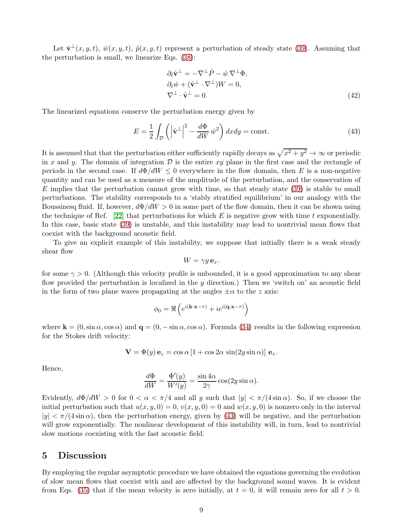Let  $\hat{\mathbf{v}}^{\perp}(x, y, t)$ ,  $\hat{w}(x, y, t)$ ,  $\hat{p}(x, y, t)$  represent a perturbation of steady state [\(39\)](#page-7-2). Assuming that the perturbation is small, we linearize Eqs. [\(38\)](#page-7-1):

<span id="page-8-0"></span>
$$
\partial_t \hat{\mathbf{v}}^{\perp} = -\nabla^{\perp} \hat{P} - \hat{w} \nabla^{\perp} \Phi,
$$
  
\n
$$
\partial_t \hat{w} + (\hat{\mathbf{v}}^{\perp} \cdot \nabla^{\perp}) W = 0,
$$
  
\n
$$
\nabla^{\perp} \cdot \hat{\mathbf{v}}^{\perp} = 0.
$$
\n(42)

The linearized equations conserve the perturbation energy given by

$$
E = \frac{1}{2} \int_{\mathcal{D}} \left( \left| \hat{\mathbf{v}}^{\perp} \right|^{2} - \frac{d\Phi}{dW} \hat{w}^{2} \right) dx dy = \text{const.}
$$
 (43)

It is assumed that that the perturbation either sufficiently rapidly decays as  $\sqrt{x^2 + y^2} \to \infty$  or periodic in x and y. The domain of integration  $\mathcal D$  is the entire xy plane in the first case and the rectangle of periods in the second case. If  $d\Phi/dW \leq 0$  everywhere in the flow domain, then E is a non-negative quantity and can be used as a measure of the amplitude of the perturbation, and the conservation of  $E$  implies that the perturbation cannot grow with time, so that steady state [\(39\)](#page-7-2) is stable to small perturbations. The stability corresponds to a 'stably stratified equilibrium' in our analogy with the Boussinesq fluid. If, however,  $d\Phi/dW > 0$  in some part of the flow domain, then it can be shown using the technique of Ref. [\[22\]](#page-10-9) that perturbations for which E is negative grow with time t exponentially. In this case, basic state [\(39\)](#page-7-2) is unstable, and this instability may lead to nontrivial mean flows that coexist with the background acoustic field.

To give an explicit example of this instability, we suppose that initially there is a weak steady shear flow

$$
W=\gamma y\,\mathbf{e}_z.
$$

for some  $\gamma > 0$ . (Although this velocity profile is unbounded, it is a good approximation to any shear flow provided the perturbation is localized in the  $y$  direction.) Then we 'switch on' an acoustic field in the form of two plane waves propagating at the angles  $\pm \alpha$  to the z axis:

$$
\phi_0 = \Re\left(e^{i(\mathbf{k}\cdot\mathbf{x}-\tau)} + ie^{i(\mathbf{q}\cdot\mathbf{x}-\tau)}\right)
$$

where  $\mathbf{k} = (0, \sin \alpha, \cos \alpha)$  and  $\mathbf{q} = (0, -\sin \alpha, \cos \alpha)$ . Formula [\(34\)](#page-6-1) results in the following expression for the Stokes drift velocity:

$$
\mathbf{V} = \Phi(y) \mathbf{e}_z = \cos \alpha \left[ 1 + \cos 2\alpha \, \sin(2y \sin \alpha) \right] \mathbf{e}_z.
$$

Hence,

$$
\frac{d\Phi}{dW} = \frac{\Phi'(y)}{W'(y)} = \frac{\sin 4\alpha}{2\gamma} \cos(2y \sin \alpha).
$$

Evidently,  $d\Phi/dW > 0$  for  $0 < \alpha < \pi/4$  and all y such that  $|y| < \pi/(4 \sin \alpha)$ . So, if we choose the initial perturbation such that  $u(x, y, 0) = 0$ ,  $v(x, y, 0) = 0$  and  $w(x, y, 0)$  is nonzero only in the interval  $|y| < \pi/(4\sin\alpha)$ , then the perturbation energy, given by [\(43\)](#page-8-0) will be negative, and the perturbation will grow exponentially. The nonlinear development of this instability will, in turn, lead to nontrivial slow motions coexisting with the fast acoustic field.

## 5 Discussion

By employing the regular asymptotic procedure we have obtained the equations governing the evolution of slow mean flows that coexist with and are affected by the background sound waves. It is evident from Eqs. [\(35\)](#page-6-0) that if the mean velocity is zero initially, at  $t = 0$ , it will remain zero for all  $t > 0$ .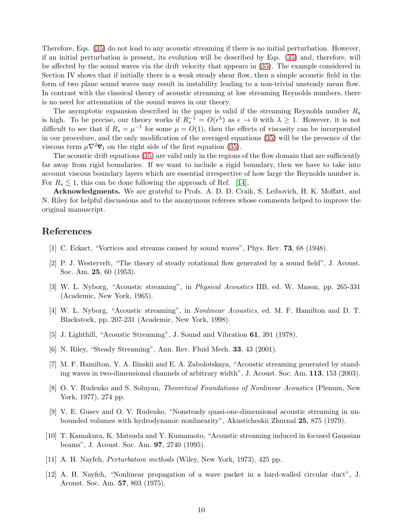Therefore, Eqs. [\(35\)](#page-6-0) do not lead to any acoustic streaming if there is no initial perturbation. However, if an initial perturbation is present, its evolution will be described by Eqs. [\(35\)](#page-6-0) and, therefore, will be affected by the sound waves via the drift velocity that appears in [\(35\)](#page-6-0). The example considered in Section IV shows that if initially there is a weak steady shear flow, then a simple acoustic field in the form of two plane sound waves may result in instability leading to a non-trivial unsteady mean flow. In contrast with the classical theory of acoustic streaming at low streaming Reynolds numbers, there is no need for attenuation of the sound waves in our theory.

The asymptotic expansion described in the paper is valid if the streaming Reynolds number  $R_s$ is high. To be precise, our theory works if  $R_s^{-1} = O(\epsilon^{\lambda})$  as  $\epsilon \to 0$  with  $\lambda \geq 1$ . However, it is not difficult to see that if  $R_s = \mu^{-1}$  for some  $\mu = O(1)$ , then the effects of viscosity can be incorporated in our procedure, and the only modification of the averaged equations [\(35\)](#page-6-0) will be the presence of the viscous term  $\mu \nabla^2 \overline{\mathbf{v}}_1$  on the right side of the first equation [\(35\)](#page-6-0).

The acoustic drift equations [\(35\)](#page-6-0) are valid only in the regions of the flow domain that are sufficiently far away from rigid boundaries. If we want to include a rigid boundary, then we have to take into account viscous boundary layers which are essential irrespective of how large the Reynolds number is. For  $R_s \lesssim 1$ , this can be done following the approach of Ref. [\[14\]](#page-10-1).

Acknowledgments. We are grateful to Profs. A. D. D. Craik, S. Leibovich, H. K. Moffatt, and N. Riley for helpful discussions and to the anonymous referees whose comments helped to improve the original manuscript.

## <span id="page-9-2"></span>References

- <span id="page-9-3"></span>[1] C. Eckart, "Vortices and streams caused by sound waves", Phys. Rev. 73, 68 (1948).
- <span id="page-9-4"></span>[2] P. J. Westervelt, "The theory of steady rotational flow generated by a sound field", J. Acoust. Soc. Am. 25, 60 (1953).
- [3] W. L. Nyborg, "Acoustic streaming", in Physical Acoustics IIB, ed. W. Mason, pp. 265-331 (Academic, New York, 1965).
- [4] W. L. Nyborg, "Acoustic streaming", in Nonlinear Acoustics, ed. M. F. Hamilton and D. T. Blackstock, pp. 207-231 (Academic, New York, 1998).
- <span id="page-9-1"></span><span id="page-9-0"></span>[5] J. Lighthill, "Acoustic Streaming", J. Sound and Vibration 61, 391 (1978).
- [6] N. Riley, "Steady Streaming", Ann. Rev. Fluid Mech. 33, 43 (2001).
- [7] M. F. Hamilton, Y. A. Ilinskii and E. A. Zabolotskaya, "Acoustic streaming generated by standing waves in two-dimensional channels of arbitrary width", J. Acoust. Soc. Am. 113, 153 (2003).
- <span id="page-9-5"></span>[8] O. V. Rudenko and S. Soluyan, Theoretical Foundations of Nonlinear Acoustics (Plenum, New York, 1977), 274 pp.
- <span id="page-9-6"></span>[9] V. E. Gusev and O. V. Rudenko, "Nonsteady quasi-one-dimensional acoustic streaming in unbounded volumes with hydrodynamic nonlinearity", Akusticheskii Zhurnal 25, 875 (1979).
- <span id="page-9-7"></span>[10] T. Kamakura, K. Matsuda and Y. Kumamoto, "Acoustic streaming induced in focused Gaussian beams", J. Acoust. Soc. Am. 97, 2740 (1995).
- <span id="page-9-9"></span><span id="page-9-8"></span>[11] A. H. Nayfeh, Perturbation methods (Wiley, New York, 1973), 425 pp.
- [12] A. H. Nayfeh, "Nonlinear propagation of a wave packet in a hard-walled circular duct", J. Acoust. Soc. Am. 57, 803 (1975).